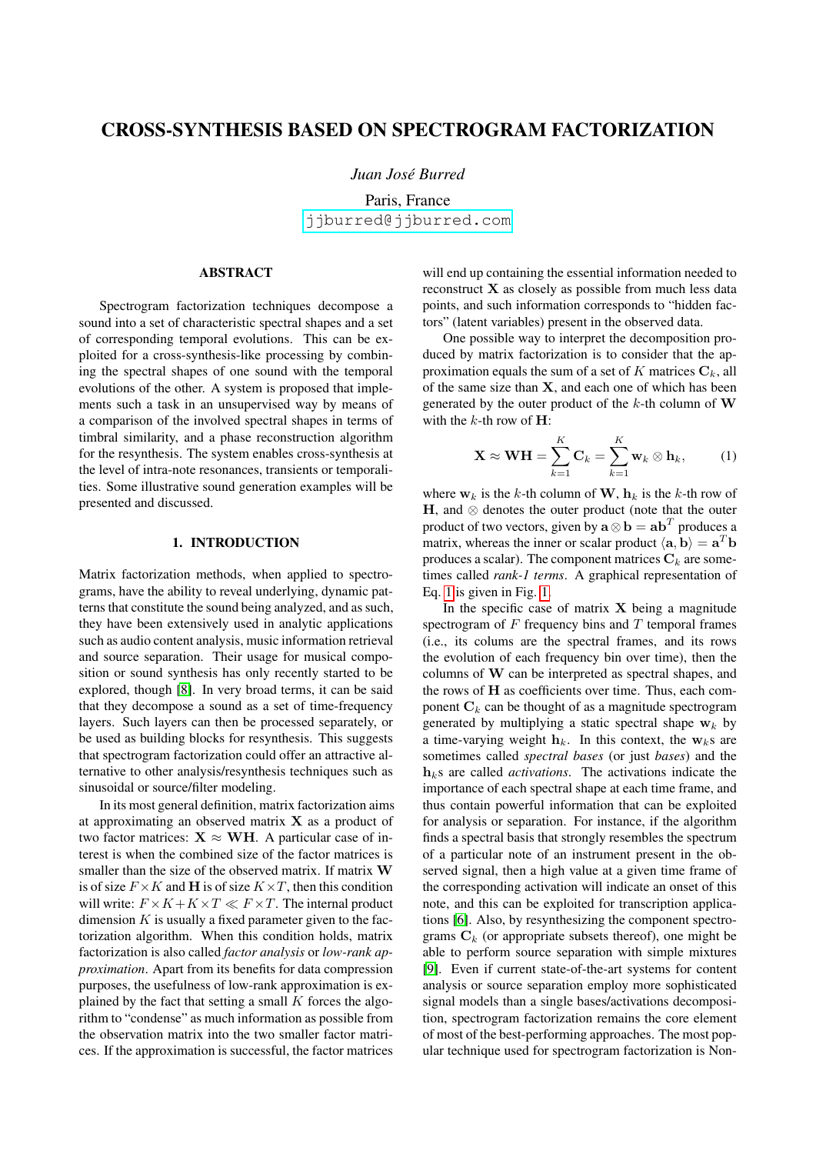# CROSS-SYNTHESIS BASED ON SPECTROGRAM FACTORIZATION

*Juan Jose Burred ´*

Paris, France [jjburred@jjburred.com](mailto:jjburred@jjburred.com)

## ABSTRACT

Spectrogram factorization techniques decompose a sound into a set of characteristic spectral shapes and a set of corresponding temporal evolutions. This can be exploited for a cross-synthesis-like processing by combining the spectral shapes of one sound with the temporal evolutions of the other. A system is proposed that implements such a task in an unsupervised way by means of a comparison of the involved spectral shapes in terms of timbral similarity, and a phase reconstruction algorithm for the resynthesis. The system enables cross-synthesis at the level of intra-note resonances, transients or temporalities. Some illustrative sound generation examples will be presented and discussed.

## 1. INTRODUCTION

Matrix factorization methods, when applied to spectrograms, have the ability to reveal underlying, dynamic patterns that constitute the sound being analyzed, and as such, they have been extensively used in analytic applications such as audio content analysis, music information retrieval and source separation. Their usage for musical composition or sound synthesis has only recently started to be explored, though [\[8\]](#page-5-0). In very broad terms, it can be said that they decompose a sound as a set of time-frequency layers. Such layers can then be processed separately, or be used as building blocks for resynthesis. This suggests that spectrogram factorization could offer an attractive alternative to other analysis/resynthesis techniques such as sinusoidal or source/filter modeling.

In its most general definition, matrix factorization aims at approximating an observed matrix  $X$  as a product of two factor matrices:  $X \approx WH$ . A particular case of interest is when the combined size of the factor matrices is smaller than the size of the observed matrix. If matrix W is of size  $F \times K$  and H is of size  $K \times T$ , then this condition will write:  $F \times K + K \times T \ll F \times T$ . The internal product dimension  $K$  is usually a fixed parameter given to the factorization algorithm. When this condition holds, matrix factorization is also called *factor analysis* or *low-rank approximation*. Apart from its benefits for data compression purposes, the usefulness of low-rank approximation is explained by the fact that setting a small  $K$  forces the algorithm to "condense" as much information as possible from the observation matrix into the two smaller factor matrices. If the approximation is successful, the factor matrices

will end up containing the essential information needed to reconstruct X as closely as possible from much less data points, and such information corresponds to "hidden factors" (latent variables) present in the observed data.

One possible way to interpret the decomposition produced by matrix factorization is to consider that the approximation equals the sum of a set of K matrices  $C_k$ , all of the same size than  $X$ , and each one of which has been generated by the outer product of the  $k$ -th column of W with the  $k$ -th row of  $H$ :

<span id="page-0-0"></span>
$$
\mathbf{X} \approx \mathbf{W} \mathbf{H} = \sum_{k=1}^{K} \mathbf{C}_k = \sum_{k=1}^{K} \mathbf{w}_k \otimes \mathbf{h}_k, \quad (1)
$$

where  $w_k$  is the k-th column of W,  $h_k$  is the k-th row of H, and ⊗ denotes the outer product (note that the outer product of two vectors, given by  $\mathbf{a} \otimes \mathbf{b} = \mathbf{a} \mathbf{b}^T$  produces a matrix, whereas the inner or scalar product  $\langle \mathbf{a}, \mathbf{b} \rangle = \mathbf{a}^T \mathbf{b}$ produces a scalar). The component matrices  $C_k$  are sometimes called *rank-1 terms*. A graphical representation of Eq. [1](#page-0-0) is given in Fig. [1.](#page-1-0)

In the specific case of matrix  $X$  being a magnitude spectrogram of  $F$  frequency bins and  $T$  temporal frames (i.e., its colums are the spectral frames, and its rows the evolution of each frequency bin over time), then the columns of W can be interpreted as spectral shapes, and the rows of H as coefficients over time. Thus, each component  $C_k$  can be thought of as a magnitude spectrogram generated by multiplying a static spectral shape  $w_k$  by a time-varying weight  $h_k$ . In this context, the w<sub>k</sub>s are sometimes called *spectral bases* (or just *bases*) and the  $h_k$ s are called *activations*. The activations indicate the importance of each spectral shape at each time frame, and thus contain powerful information that can be exploited for analysis or separation. For instance, if the algorithm finds a spectral basis that strongly resembles the spectrum of a particular note of an instrument present in the observed signal, then a high value at a given time frame of the corresponding activation will indicate an onset of this note, and this can be exploited for transcription applications [\[6\]](#page-5-1). Also, by resynthesizing the component spectrograms  $C_k$  (or appropriate subsets thereof), one might be able to perform source separation with simple mixtures [\[9\]](#page-5-2). Even if current state-of-the-art systems for content analysis or source separation employ more sophisticated signal models than a single bases/activations decomposition, spectrogram factorization remains the core element of most of the best-performing approaches. The most popular technique used for spectrogram factorization is Non-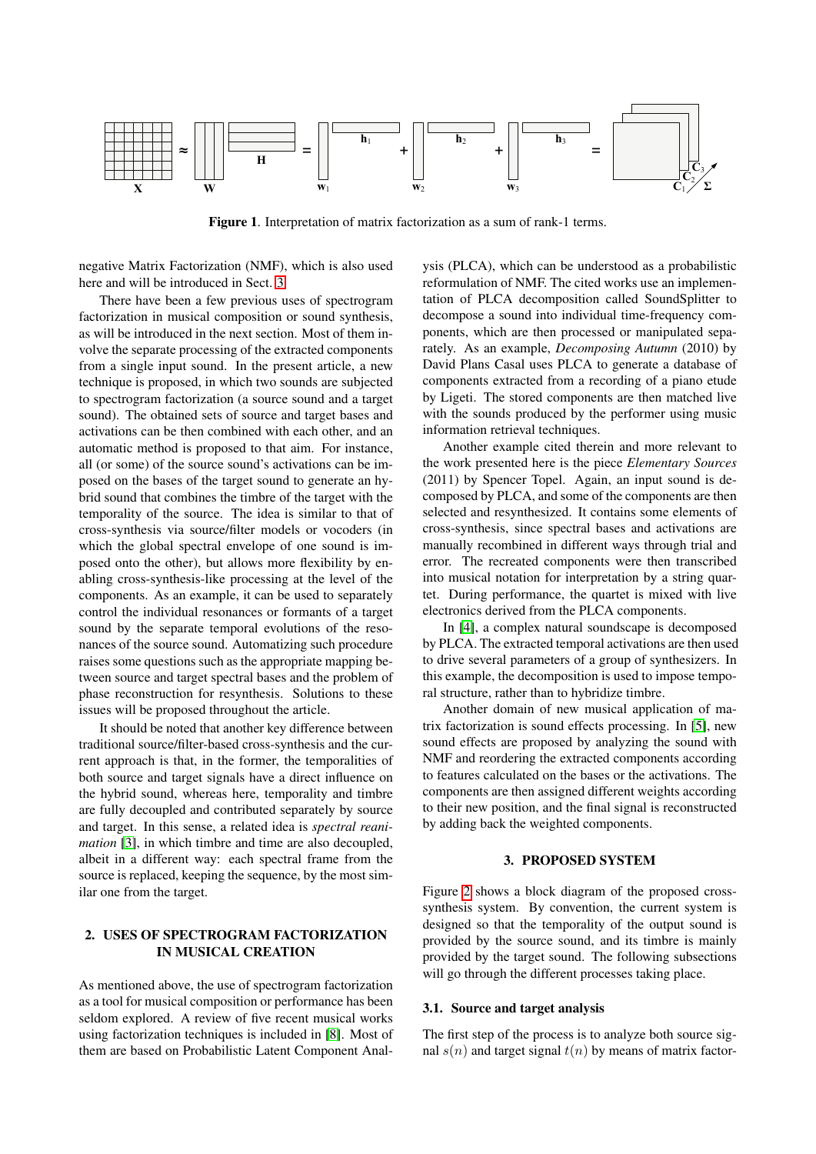

<span id="page-1-0"></span>Figure 1. Interpretation of matrix factorization as a sum of rank-1 terms.

negative Matrix Factorization (NMF), which is also used here and will be introduced in Sect. [3.](#page-1-1)

There have been a few previous uses of spectrogram factorization in musical composition or sound synthesis, as will be introduced in the next section. Most of them involve the separate processing of the extracted components from a single input sound. In the present article, a new technique is proposed, in which two sounds are subjected to spectrogram factorization (a source sound and a target sound). The obtained sets of source and target bases and activations can be then combined with each other, and an automatic method is proposed to that aim. For instance, all (or some) of the source sound's activations can be imposed on the bases of the target sound to generate an hybrid sound that combines the timbre of the target with the temporality of the source. The idea is similar to that of cross-synthesis via source/filter models or vocoders (in which the global spectral envelope of one sound is imposed onto the other), but allows more flexibility by enabling cross-synthesis-like processing at the level of the components. As an example, it can be used to separately control the individual resonances or formants of a target sound by the separate temporal evolutions of the resonances of the source sound. Automatizing such procedure raises some questions such as the appropriate mapping between source and target spectral bases and the problem of phase reconstruction for resynthesis. Solutions to these issues will be proposed throughout the article.

It should be noted that another key difference between traditional source/filter-based cross-synthesis and the current approach is that, in the former, the temporalities of both source and target signals have a direct influence on the hybrid sound, whereas here, temporality and timbre are fully decoupled and contributed separately by source and target. In this sense, a related idea is *spectral reanimation* [\[3\]](#page-5-3), in which timbre and time are also decoupled, albeit in a different way: each spectral frame from the source is replaced, keeping the sequence, by the most similar one from the target.

## 2. USES OF SPECTROGRAM FACTORIZATION IN MUSICAL CREATION

As mentioned above, the use of spectrogram factorization as a tool for musical composition or performance has been seldom explored. A review of five recent musical works using factorization techniques is included in [\[8\]](#page-5-0). Most of them are based on Probabilistic Latent Component Analysis (PLCA), which can be understood as a probabilistic reformulation of NMF. The cited works use an implementation of PLCA decomposition called SoundSplitter to decompose a sound into individual time-frequency components, which are then processed or manipulated separately. As an example, *Decomposing Autumn* (2010) by David Plans Casal uses PLCA to generate a database of components extracted from a recording of a piano etude by Ligeti. The stored components are then matched live with the sounds produced by the performer using music information retrieval techniques.

Another example cited therein and more relevant to the work presented here is the piece *Elementary Sources* (2011) by Spencer Topel. Again, an input sound is decomposed by PLCA, and some of the components are then selected and resynthesized. It contains some elements of cross-synthesis, since spectral bases and activations are manually recombined in different ways through trial and error. The recreated components were then transcribed into musical notation for interpretation by a string quartet. During performance, the quartet is mixed with live electronics derived from the PLCA components.

In [\[4\]](#page-5-4), a complex natural soundscape is decomposed by PLCA. The extracted temporal activations are then used to drive several parameters of a group of synthesizers. In this example, the decomposition is used to impose temporal structure, rather than to hybridize timbre.

Another domain of new musical application of matrix factorization is sound effects processing. In [\[5\]](#page-5-5), new sound effects are proposed by analyzing the sound with NMF and reordering the extracted components according to features calculated on the bases or the activations. The components are then assigned different weights according to their new position, and the final signal is reconstructed by adding back the weighted components.

## 3. PROPOSED SYSTEM

<span id="page-1-1"></span>Figure [2](#page-2-0) shows a block diagram of the proposed crosssynthesis system. By convention, the current system is designed so that the temporality of the output sound is provided by the source sound, and its timbre is mainly provided by the target sound. The following subsections will go through the different processes taking place.

### 3.1. Source and target analysis

The first step of the process is to analyze both source signal  $s(n)$  and target signal  $t(n)$  by means of matrix factor-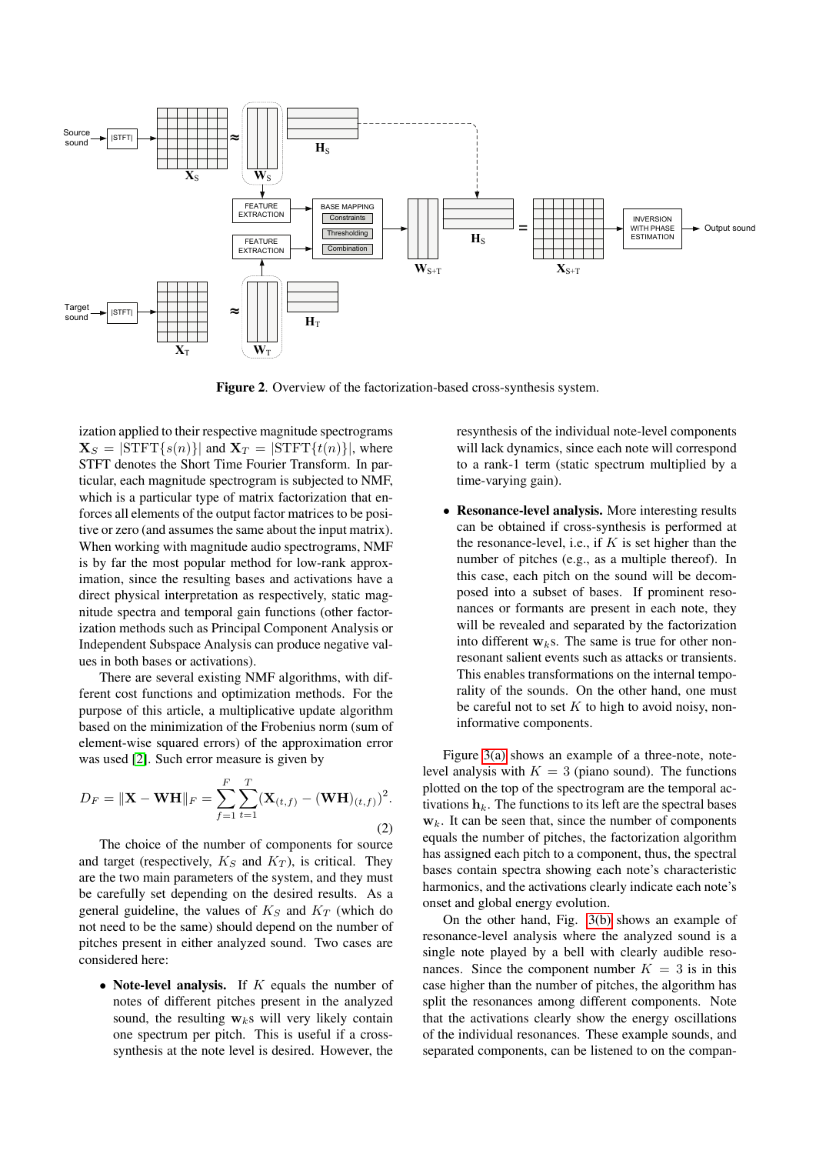

<span id="page-2-0"></span>Figure 2. Overview of the factorization-based cross-synthesis system.

ization applied to their respective magnitude spectrograms  $\mathbf{X}_S = |\text{STFT}\{s(n)\}|$  and  $\mathbf{X}_T = |\text{STFT}\{t(n)\}|$ , where STFT denotes the Short Time Fourier Transform. In particular, each magnitude spectrogram is subjected to NMF, which is a particular type of matrix factorization that enforces all elements of the output factor matrices to be positive or zero (and assumes the same about the input matrix). When working with magnitude audio spectrograms, NMF is by far the most popular method for low-rank approximation, since the resulting bases and activations have a direct physical interpretation as respectively, static magnitude spectra and temporal gain functions (other factorization methods such as Principal Component Analysis or Independent Subspace Analysis can produce negative values in both bases or activations).

There are several existing NMF algorithms, with different cost functions and optimization methods. For the purpose of this article, a multiplicative update algorithm based on the minimization of the Frobenius norm (sum of element-wise squared errors) of the approximation error was used [\[2\]](#page-5-6). Such error measure is given by

$$
D_F = \|\mathbf{X} - \mathbf{W}\mathbf{H}\|_F = \sum_{f=1}^F \sum_{t=1}^T (\mathbf{X}_{(t,f)} - (\mathbf{W}\mathbf{H})_{(t,f)})^2.
$$
\n(2)

The choice of the number of components for source and target (respectively,  $K_S$  and  $K_T$ ), is critical. They are the two main parameters of the system, and they must be carefully set depending on the desired results. As a general guideline, the values of  $K<sub>S</sub>$  and  $K<sub>T</sub>$  (which do not need to be the same) should depend on the number of pitches present in either analyzed sound. Two cases are considered here:

• Note-level analysis. If  $K$  equals the number of notes of different pitches present in the analyzed sound, the resulting  $w_k$ s will very likely contain one spectrum per pitch. This is useful if a crosssynthesis at the note level is desired. However, the resynthesis of the individual note-level components will lack dynamics, since each note will correspond to a rank-1 term (static spectrum multiplied by a time-varying gain).

• Resonance-level analysis. More interesting results can be obtained if cross-synthesis is performed at the resonance-level, i.e., if  $K$  is set higher than the number of pitches (e.g., as a multiple thereof). In this case, each pitch on the sound will be decomposed into a subset of bases. If prominent resonances or formants are present in each note, they will be revealed and separated by the factorization into different  $w_k$ s. The same is true for other nonresonant salient events such as attacks or transients. This enables transformations on the internal temporality of the sounds. On the other hand, one must be careful not to set  $K$  to high to avoid noisy, noninformative components.

Figure [3\(a\)](#page-4-0) shows an example of a three-note, notelevel analysis with  $K = 3$  (piano sound). The functions plotted on the top of the spectrogram are the temporal activations  $h_k$ . The functions to its left are the spectral bases  $w_k$ . It can be seen that, since the number of components equals the number of pitches, the factorization algorithm has assigned each pitch to a component, thus, the spectral bases contain spectra showing each note's characteristic harmonics, and the activations clearly indicate each note's onset and global energy evolution.

On the other hand, Fig. [3\(b\)](#page-4-1) shows an example of resonance-level analysis where the analyzed sound is a single note played by a bell with clearly audible resonances. Since the component number  $K = 3$  is in this case higher than the number of pitches, the algorithm has split the resonances among different components. Note that the activations clearly show the energy oscillations of the individual resonances. These example sounds, and separated components, can be listened to on the compan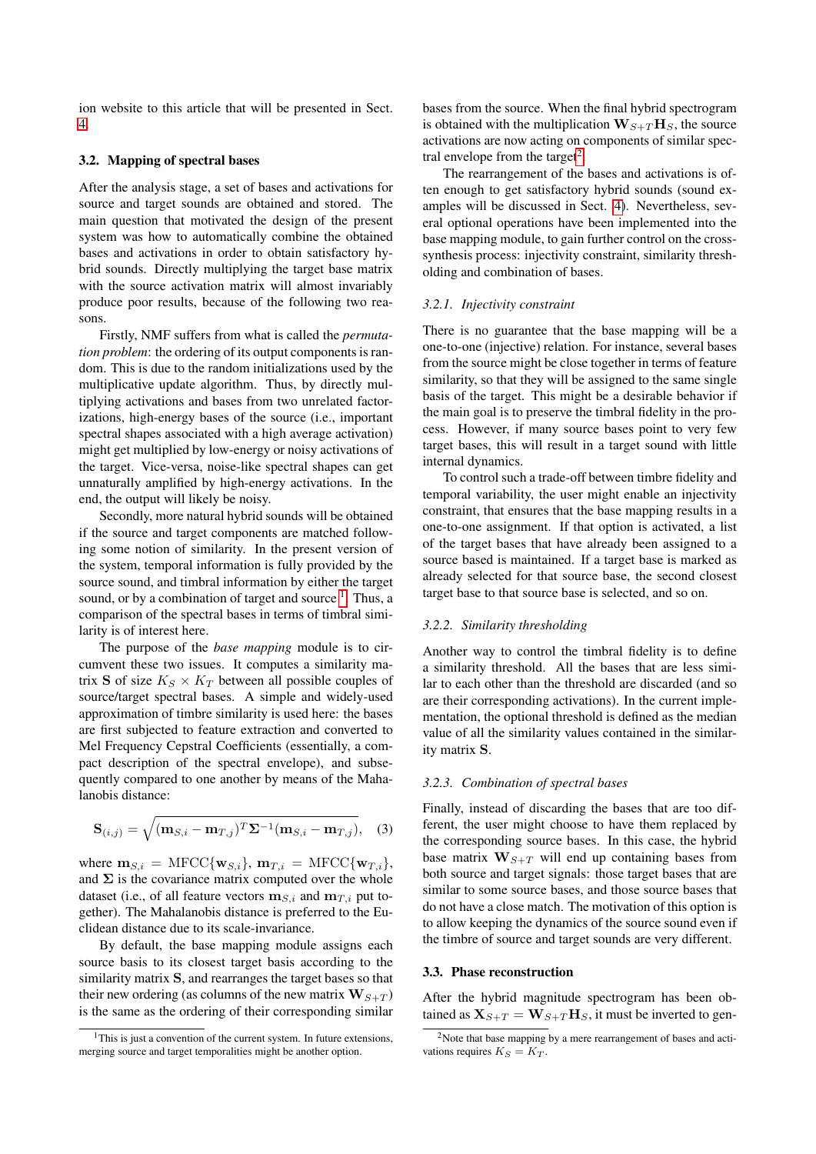ion website to this article that will be presented in Sect. [4.](#page-4-2)

## 3.2. Mapping of spectral bases

After the analysis stage, a set of bases and activations for source and target sounds are obtained and stored. The main question that motivated the design of the present system was how to automatically combine the obtained bases and activations in order to obtain satisfactory hybrid sounds. Directly multiplying the target base matrix with the source activation matrix will almost invariably produce poor results, because of the following two reasons.

Firstly, NMF suffers from what is called the *permutation problem*: the ordering of its output components is random. This is due to the random initializations used by the multiplicative update algorithm. Thus, by directly multiplying activations and bases from two unrelated factorizations, high-energy bases of the source (i.e., important spectral shapes associated with a high average activation) might get multiplied by low-energy or noisy activations of the target. Vice-versa, noise-like spectral shapes can get unnaturally amplified by high-energy activations. In the end, the output will likely be noisy.

Secondly, more natural hybrid sounds will be obtained if the source and target components are matched following some notion of similarity. In the present version of the system, temporal information is fully provided by the source sound, and timbral information by either the target sound, or by a combination of target and source  $<sup>1</sup>$  $<sup>1</sup>$  $<sup>1</sup>$ . Thus, a</sup> comparison of the spectral bases in terms of timbral similarity is of interest here.

The purpose of the *base mapping* module is to circumvent these two issues. It computes a similarity matrix **S** of size  $K_S \times K_T$  between all possible couples of source/target spectral bases. A simple and widely-used approximation of timbre similarity is used here: the bases are first subjected to feature extraction and converted to Mel Frequency Cepstral Coefficients (essentially, a compact description of the spectral envelope), and subsequently compared to one another by means of the Mahalanobis distance:

$$
\mathbf{S}_{(i,j)} = \sqrt{(\mathbf{m}_{S,i} - \mathbf{m}_{T,j})^T \Sigma^{-1} (\mathbf{m}_{S,i} - \mathbf{m}_{T,j})}, \quad (3)
$$

where  $\mathbf{m}_{S,i} = \text{MFCC} \{ \mathbf{w}_{S,i} \}, \, \mathbf{m}_{T,i} = \text{MFCC} \{ \mathbf{w}_{T,i} \},$ and  $\Sigma$  is the covariance matrix computed over the whole dataset (i.e., of all feature vectors  $\mathbf{m}_{S,i}$  and  $\mathbf{m}_{T,i}$  put together). The Mahalanobis distance is preferred to the Euclidean distance due to its scale-invariance.

By default, the base mapping module assigns each source basis to its closest target basis according to the similarity matrix S, and rearranges the target bases so that their new ordering (as columns of the new matrix  $\mathbf{W}_{S+T}$ ) is the same as the ordering of their corresponding similar

bases from the source. When the final hybrid spectrogram is obtained with the multiplication  $\mathbf{W}_{S+T}\mathbf{H}_{S}$ , the source activations are now acting on components of similar spec-tral envelope from the target<sup>[2](#page-3-1)</sup>.

The rearrangement of the bases and activations is often enough to get satisfactory hybrid sounds (sound examples will be discussed in Sect. [4\)](#page-4-2). Nevertheless, several optional operations have been implemented into the base mapping module, to gain further control on the crosssynthesis process: injectivity constraint, similarity thresholding and combination of bases.

### *3.2.1. Injectivity constraint*

There is no guarantee that the base mapping will be a one-to-one (injective) relation. For instance, several bases from the source might be close together in terms of feature similarity, so that they will be assigned to the same single basis of the target. This might be a desirable behavior if the main goal is to preserve the timbral fidelity in the process. However, if many source bases point to very few target bases, this will result in a target sound with little internal dynamics.

To control such a trade-off between timbre fidelity and temporal variability, the user might enable an injectivity constraint, that ensures that the base mapping results in a one-to-one assignment. If that option is activated, a list of the target bases that have already been assigned to a source based is maintained. If a target base is marked as already selected for that source base, the second closest target base to that source base is selected, and so on.

### *3.2.2. Similarity thresholding*

Another way to control the timbral fidelity is to define a similarity threshold. All the bases that are less similar to each other than the threshold are discarded (and so are their corresponding activations). In the current implementation, the optional threshold is defined as the median value of all the similarity values contained in the similarity matrix S.

#### *3.2.3. Combination of spectral bases*

Finally, instead of discarding the bases that are too different, the user might choose to have them replaced by the corresponding source bases. In this case, the hybrid base matrix  $\mathbf{W}_{S+T}$  will end up containing bases from both source and target signals: those target bases that are similar to some source bases, and those source bases that do not have a close match. The motivation of this option is to allow keeping the dynamics of the source sound even if the timbre of source and target sounds are very different.

### 3.3. Phase reconstruction

After the hybrid magnitude spectrogram has been obtained as  $X_{S+T} = W_{S+T}H_S$ , it must be inverted to gen-

<span id="page-3-0"></span> $1$ This is just a convention of the current system. In future extensions, merging source and target temporalities might be another option.

<span id="page-3-1"></span> $2$ Note that base mapping by a mere rearrangement of bases and activations requires  $K_S = K_T$ .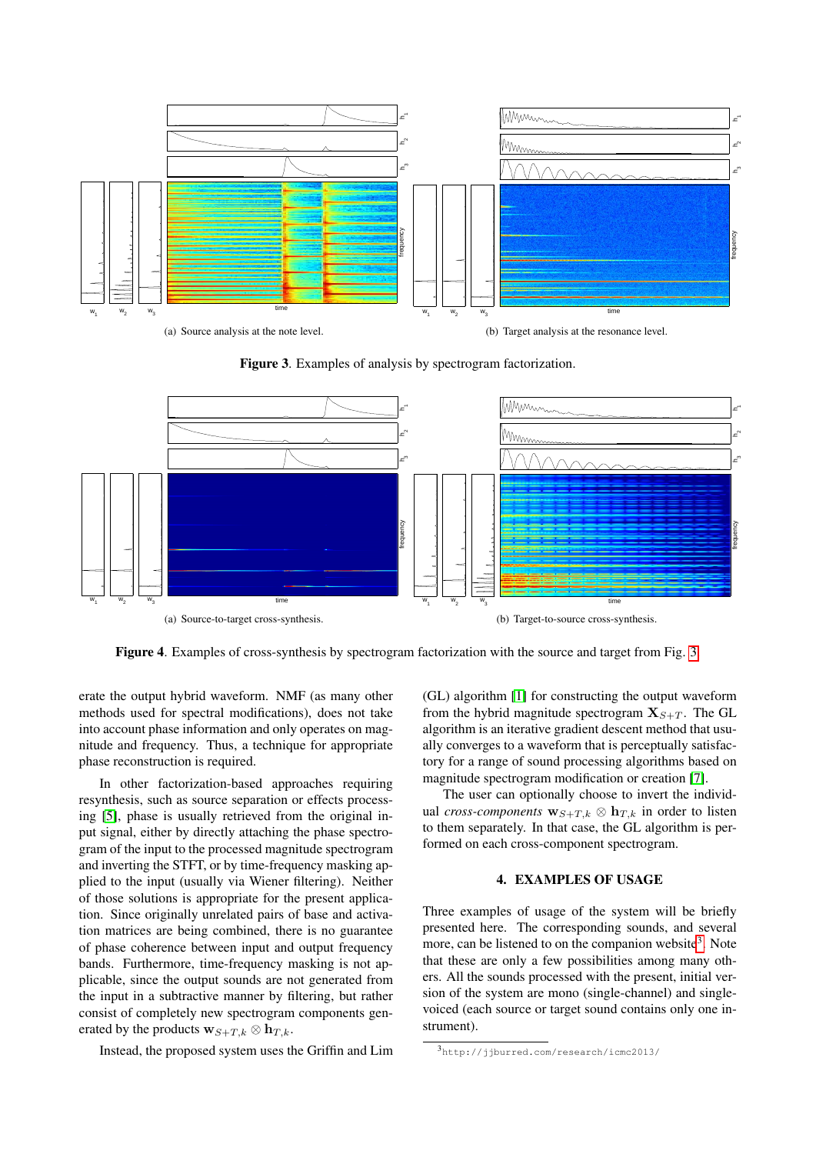<span id="page-4-0"></span>

<span id="page-4-3"></span><span id="page-4-1"></span>Figure 3. Examples of analysis by spectrogram factorization.

<span id="page-4-5"></span>

Figure 4. Examples of cross-synthesis by spectrogram factorization with the source and target from Fig. [3.](#page-4-3)

erate the output hybrid waveform. NMF (as many other methods used for spectral modifications), does not take into account phase information and only operates on magnitude and frequency. Thus, a technique for appropriate phase reconstruction is required.

In other factorization-based approaches requiring resynthesis, such as source separation or effects processing [\[5\]](#page-5-5), phase is usually retrieved from the original input signal, either by directly attaching the phase spectrogram of the input to the processed magnitude spectrogram and inverting the STFT, or by time-frequency masking applied to the input (usually via Wiener filtering). Neither of those solutions is appropriate for the present application. Since originally unrelated pairs of base and activation matrices are being combined, there is no guarantee of phase coherence between input and output frequency bands. Furthermore, time-frequency masking is not applicable, since the output sounds are not generated from the input in a subtractive manner by filtering, but rather consist of completely new spectrogram components generated by the products  $\mathbf{w}_{S+T,k} \otimes \mathbf{h}_{T,k}$ .

Instead, the proposed system uses the Griffin and Lim

<span id="page-4-6"></span>(GL) algorithm [\[1\]](#page-5-7) for constructing the output waveform from the hybrid magnitude spectrogram  $X_{S+T}$ . The GL algorithm is an iterative gradient descent method that usually converges to a waveform that is perceptually satisfactory for a range of sound processing algorithms based on magnitude spectrogram modification or creation [\[7\]](#page-5-8).

The user can optionally choose to invert the individual *cross-components*  $\mathbf{w}_{S+T,k} \otimes \mathbf{h}_{T,k}$  in order to listen to them separately. In that case, the GL algorithm is performed on each cross-component spectrogram.

## 4. EXAMPLES OF USAGE

<span id="page-4-2"></span>Three examples of usage of the system will be briefly presented here. The corresponding sounds, and several more, can be listened to on the companion website<sup>[3](#page-4-4)</sup>. Note that these are only a few possibilities among many others. All the sounds processed with the present, initial version of the system are mono (single-channel) and singlevoiced (each source or target sound contains only one instrument).

<span id="page-4-4"></span><sup>3</sup>http://jjburred.com/research/icmc2013/